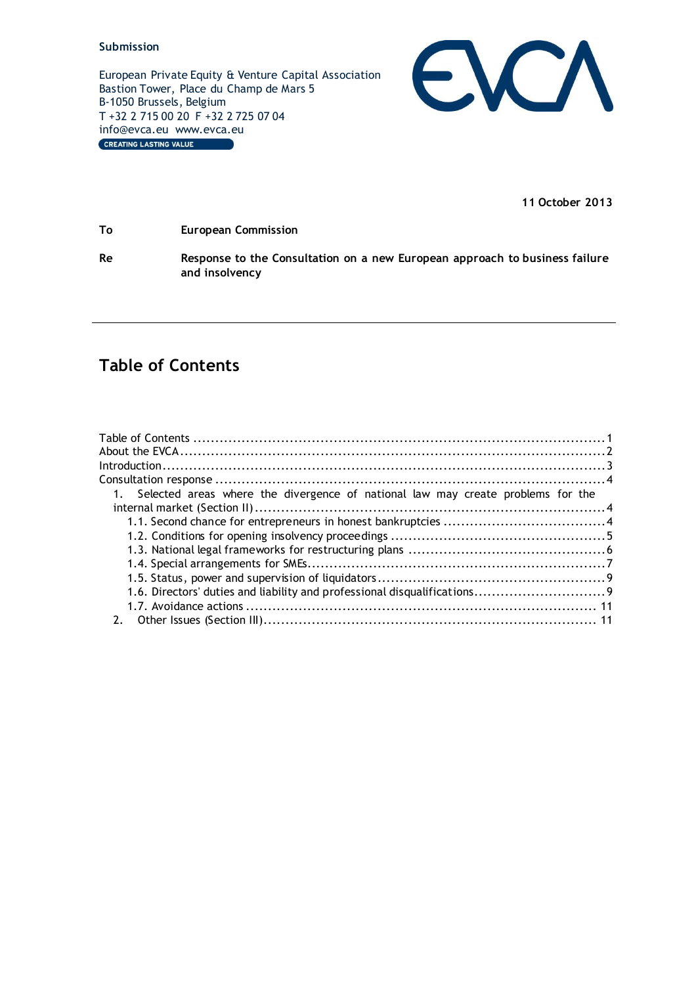European Private Equity & Venture Capital Association Bastion Tower, Place du Champ de Mars 5 B-1050 Brussels, Belgium T +32 2 715 00 20 F +32 2 725 07 04 info@evca.eu www.evca.eu<br>
CREATING LASTING VALUE



**11 October 2013**

**To European Commission**

**Re Response to the Consultation on a new European approach to business failure and insolvency**

# <span id="page-0-0"></span>**Table of Contents**

| 1. Selected areas where the divergence of national law may create problems for the |  |
|------------------------------------------------------------------------------------|--|
|                                                                                    |  |
|                                                                                    |  |
|                                                                                    |  |
|                                                                                    |  |
|                                                                                    |  |
|                                                                                    |  |
|                                                                                    |  |
|                                                                                    |  |
|                                                                                    |  |
|                                                                                    |  |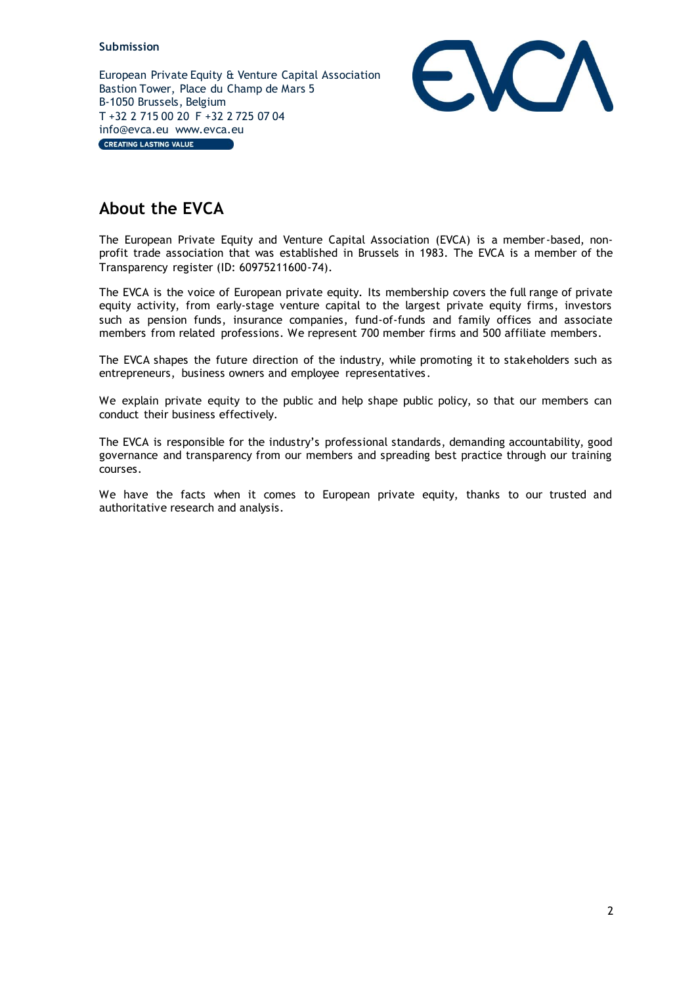European Private Equity & Venture Capital Association Bastion Tower, Place du Champ de Mars 5 B-1050 Brussels, Belgium T +32 2 715 00 20 F +32 2 725 07 04 info@evca.eu www.evca.eu CREATING LASTING VALUE



# <span id="page-1-0"></span>**About the EVCA**

The European Private Equity and Venture Capital Association (EVCA) is a member-based, nonprofit trade association that was established in Brussels in 1983. The EVCA is a member of the Transparency register (ID: 60975211600-74).

The EVCA is the voice of European private equity. Its membership covers the full range of private equity activity, from early-stage venture capital to the largest private equity firms, investors such as pension funds, insurance companies, fund-of-funds and family offices and associate members from related professions. We represent 700 member firms and 500 affiliate members.

The EVCA shapes the future direction of the industry, while promoting it to stakeholders such as entrepreneurs, business owners and employee representatives .

We explain private equity to the public and help shape public policy, so that our members can conduct their business effectively.

The EVCA is responsible for the industry's professional standards, demanding accountability, good governance and transparency from our members and spreading best practice through our training courses.

We have the facts when it comes to European private equity, thanks to our trusted and authoritative research and analysis.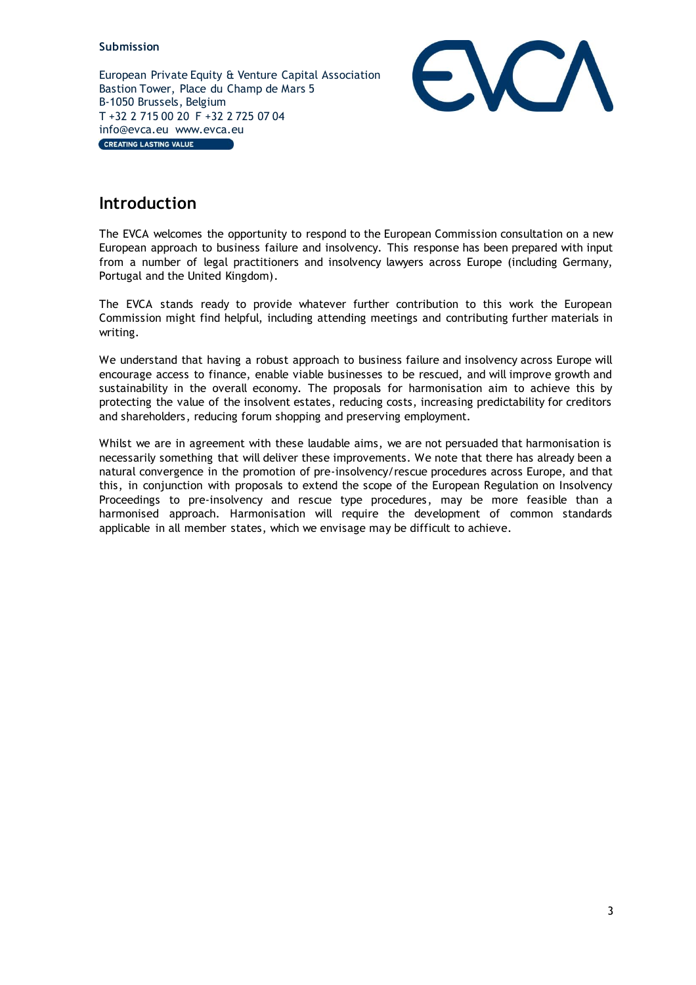European Private Equity & Venture Capital Association Bastion Tower, Place du Champ de Mars 5 B-1050 Brussels, Belgium T +32 2 715 00 20 F +32 2 725 07 04 info@evca.eu www.evca.eu CREATING LASTING VALUE



# <span id="page-2-0"></span>**Introduction**

The EVCA welcomes the opportunity to respond to the European Commission consultation on a new European approach to business failure and insolvency. This response has been prepared with input from a number of legal practitioners and insolvency lawyers across Europe (including Germany, Portugal and the United Kingdom).

The EVCA stands ready to provide whatever further contribution to this work the European Commission might find helpful, including attending meetings and contributing further materials in writing.

We understand that having a robust approach to business failure and insolvency across Europe will encourage access to finance, enable viable businesses to be rescued, and will improve growth and sustainability in the overall economy. The proposals for harmonisation aim to achieve this by protecting the value of the insolvent estates, reducing costs, increasing predictability for creditors and shareholders, reducing forum shopping and preserving employment.

Whilst we are in agreement with these laudable aims, we are not persuaded that harmonisation is necessarily something that will deliver these improvements. We note that there has already been a natural convergence in the promotion of pre-insolvency/rescue procedures across Europe, and that this, in conjunction with proposals to extend the scope of the European Regulation on Insolvency Proceedings to pre-insolvency and rescue type procedures, may be more feasible than a harmonised approach. Harmonisation will require the development of common standards applicable in all member states, which we envisage may be difficult to achieve.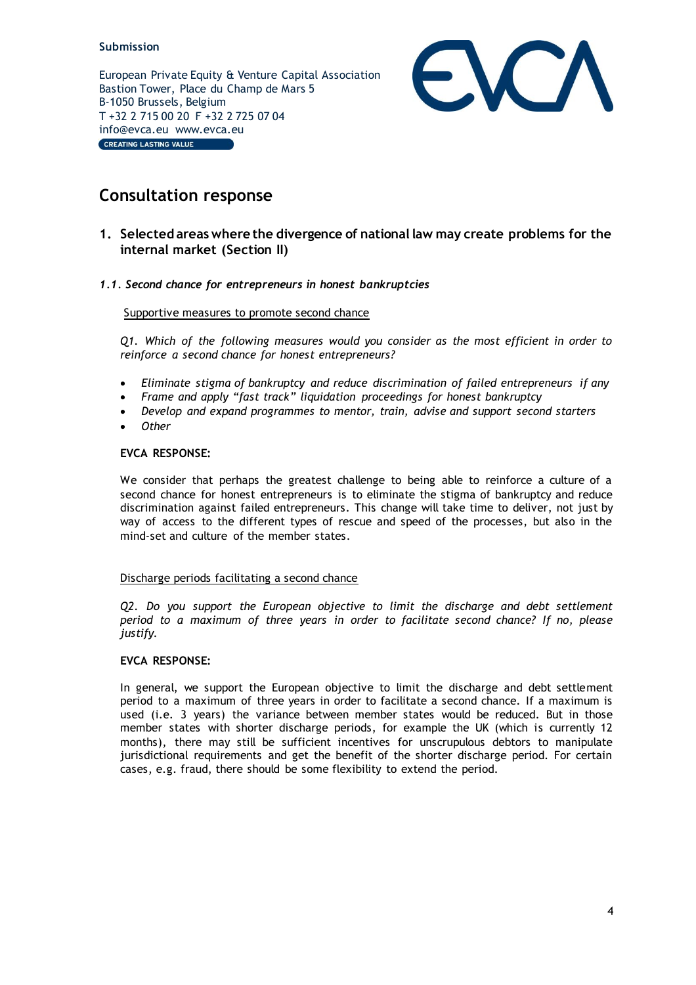European Private Equity & Venture Capital Association Bastion Tower, Place du Champ de Mars 5 B-1050 Brussels, Belgium T +32 2 715 00 20 F +32 2 725 07 04 info@evca.eu www.evca.eu CREATING LASTING VALUE



# <span id="page-3-0"></span>**Consultation response**

# <span id="page-3-1"></span>**1. Selected areas where the divergence of national law may create problems for the internal market (Section II)**

# <span id="page-3-2"></span>*1.1. Second chance for entrepreneurs in honest bankruptcies*

# Supportive measures to promote second chance

*Q1. Which of the following measures would you consider as the most efficient in order to reinforce a second chance for honest entrepreneurs?*

- *Eliminate stigma of bankruptcy and reduce discrimination of failed entrepreneurs if any*
- *Frame and apply "fast track" liquidation proceedings for honest bankruptcy*
- *Develop and expand programmes to mentor, train, advise and support second starters*
- *Other*

# **EVCA RESPONSE:**

We consider that perhaps the greatest challenge to being able to reinforce a culture of a second chance for honest entrepreneurs is to eliminate the stigma of bankruptcy and reduce discrimination against failed entrepreneurs. This change will take time to deliver, not just by way of access to the different types of rescue and speed of the processes, but also in the mind-set and culture of the member states.

#### Discharge periods facilitating a second chance

*Q2. Do you support the European objective to limit the discharge and debt settlement period to a maximum of three years in order to facilitate second chance? If no, please justify.*

# **EVCA RESPONSE:**

In general, we support the European objective to limit the discharge and debt settlement period to a maximum of three years in order to facilitate a second chance. If a maximum is used (i.e. 3 years) the variance between member states would be reduced. But in those member states with shorter discharge periods, for example the UK (which is currently 12 months), there may still be sufficient incentives for unscrupulous debtors to manipulate jurisdictional requirements and get the benefit of the shorter discharge period. For certain cases, e.g. fraud, there should be some flexibility to extend the period.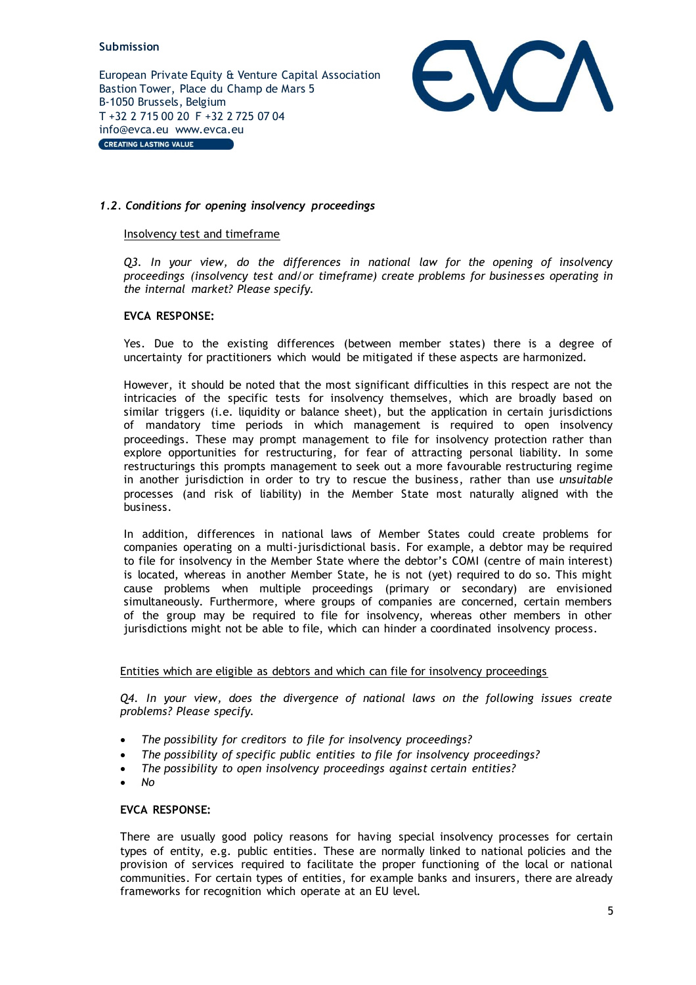European Private Equity & Venture Capital Association Bastion Tower, Place du Champ de Mars 5 B-1050 Brussels, Belgium T +32 2 715 00 20 F +32 2 725 07 04 info@evca.eu www.evca.eu CREATING LASTING VALUE



# <span id="page-4-0"></span>*1.2. Conditions for opening insolvency proceedings*

#### Insolvency test and timeframe

*Q3. In your view, do the differences in national law for the opening of insolvency proceedings (insolvency test and/or timeframe) create problems for businesses operating in the internal market? Please specify.*

### **EVCA RESPONSE:**

Yes. Due to the existing differences (between member states) there is a degree of uncertainty for practitioners which would be mitigated if these aspects are harmonized.

However, it should be noted that the most significant difficulties in this respect are not the intricacies of the specific tests for insolvency themselves, which are broadly based on similar triggers (i.e. liquidity or balance sheet), but the application in certain jurisdictions of mandatory time periods in which management is required to open insolvency proceedings. These may prompt management to file for insolvency protection rather than explore opportunities for restructuring, for fear of attracting personal liability. In some restructurings this prompts management to seek out a more favourable restructuring regime in another jurisdiction in order to try to rescue the business, rather than use *unsuitable* processes (and risk of liability) in the Member State most naturally aligned with the business.

In addition, differences in national laws of Member States could create problems for companies operating on a multi-jurisdictional basis. For example, a debtor may be required to file for insolvency in the Member State where the debtor's COMI (centre of main interest) is located, whereas in another Member State, he is not (yet) required to do so. This might cause problems when multiple proceedings (primary or secondary) are envisioned simultaneously. Furthermore, where groups of companies are concerned, certain members of the group may be required to file for insolvency, whereas other members in other jurisdictions might not be able to file, which can hinder a coordinated insolvency process.

#### Entities which are eligible as debtors and which can file for insolvency proceedings

*Q4. In your view, does the divergence of national laws on the following issues create problems? Please specify.*

- *The possibility for creditors to file for insolvency proceedings?*
- *The possibility of specific public entities to file for insolvency proceedings?*
- *The possibility to open insolvency proceedings against certain entities?*
- *No*

#### **EVCA RESPONSE:**

There are usually good policy reasons for having special insolvency processes for certain types of entity, e.g. public entities. These are normally linked to national policies and the provision of services required to facilitate the proper functioning of the local or national communities. For certain types of entities, for example banks and insurers, there are already frameworks for recognition which operate at an EU level.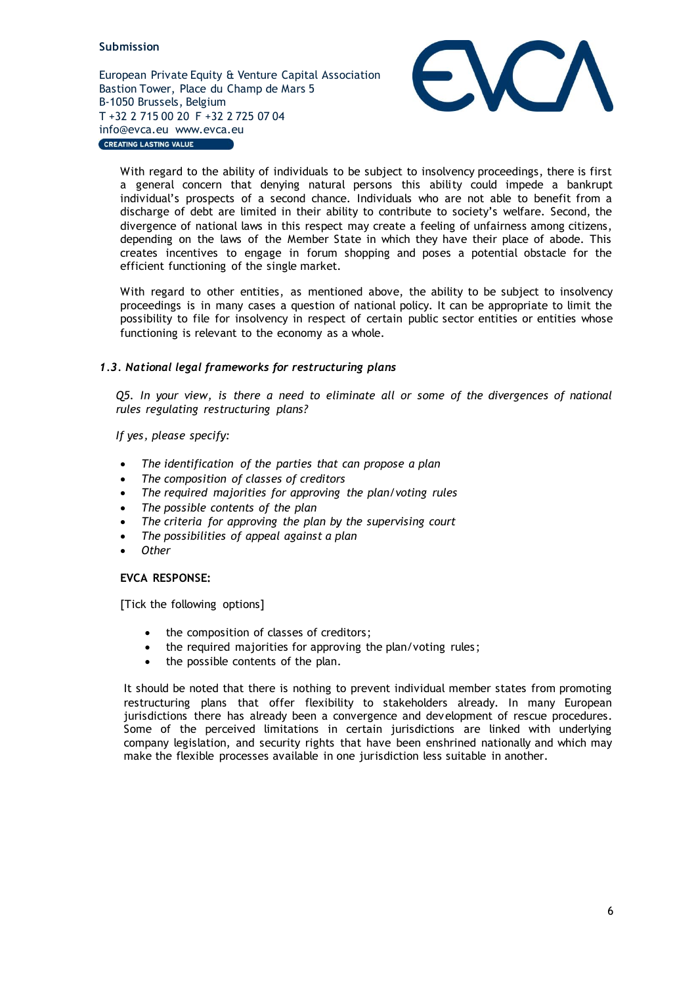European Private Equity & Venture Capital Association Bastion Tower, Place du Champ de Mars 5 B-1050 Brussels, Belgium T +32 2 715 00 20 F +32 2 725 07 04 info@evca.eu www.evca.eu **CREATING LASTING VALUE** 



With regard to the ability of individuals to be subject to insolvency proceedings, there is first a general concern that denying natural persons this ability could impede a bankrupt individual's prospects of a second chance. Individuals who are not able to benefit from a discharge of debt are limited in their ability to contribute to society's welfare. Second, the divergence of national laws in this respect may create a feeling of unfairness among citizens, depending on the laws of the Member State in which they have their place of abode. This creates incentives to engage in forum shopping and poses a potential obstacle for the efficient functioning of the single market.

With regard to other entities, as mentioned above, the ability to be subject to insolvency proceedings is in many cases a question of national policy. It can be appropriate to limit the possibility to file for insolvency in respect of certain public sector entities or entities whose functioning is relevant to the economy as a whole.

# <span id="page-5-0"></span>*1.3. National legal frameworks for restructuring plans*

*Q5. In your view, is there a need to eliminate all or some of the divergences of national rules regulating restructuring plans?*

*If yes, please specify:*

- *The identification of the parties that can propose a plan*
- *The composition of classes of creditors*
- *The required majorities for approving the plan/voting rules*
- *The possible contents of the plan*
- *The criteria for approving the plan by the supervising court*
- *The possibilities of appeal against a plan*
- *Other*

#### **EVCA RESPONSE:**

[Tick the following options]

- the composition of classes of creditors;
- the required majorities for approving the plan/voting rules ;
- the possible contents of the plan.

It should be noted that there is nothing to prevent individual member states from promoting restructuring plans that offer flexibility to stakeholders already. In many European jurisdictions there has already been a convergence and development of rescue procedures. Some of the perceived limitations in certain jurisdictions are linked with underlying company legislation, and security rights that have been enshrined nationally and which may make the flexible processes available in one jurisdiction less suitable in another.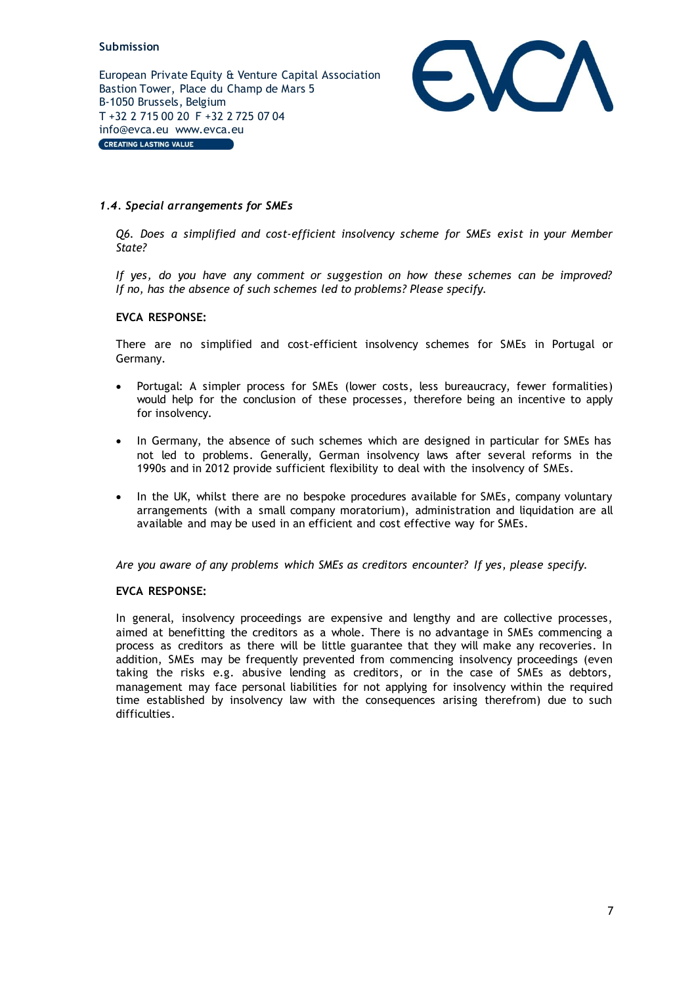European Private Equity & Venture Capital Association Bastion Tower, Place du Champ de Mars 5 B-1050 Brussels, Belgium T +32 2 715 00 20 F +32 2 725 07 04 info@evca.eu www.evca.eu CREATING LASTING VALUE



# <span id="page-6-0"></span>*1.4. Special arrangements for SMEs*

*Q6. Does a simplified and cost-efficient insolvency scheme for SMEs exist in your Member State?*

*If yes, do you have any comment or suggestion on how these schemes can be improved? If no, has the absence of such schemes led to problems? Please specify.*

# **EVCA RESPONSE:**

There are no simplified and cost-efficient insolvency schemes for SMEs in Portugal or Germany.

- Portugal: A simpler process for SMEs (lower costs, less bureaucracy, fewer formalities) would help for the conclusion of these processes, therefore being an incentive to apply for insolvency.
- In Germany, the absence of such schemes which are designed in particular for SMEs has not led to problems. Generally, German insolvency laws after several reforms in the 1990s and in 2012 provide sufficient flexibility to deal with the insolvency of SMEs.
- In the UK, whilst there are no bespoke procedures available for SMEs, company voluntary arrangements (with a small company moratorium), administration and liquidation are all available and may be used in an efficient and cost effective way for SMEs.

*Are you aware of any problems which SMEs as creditors encounter? If yes, please specify.*

#### **EVCA RESPONSE:**

In general, insolvency proceedings are expensive and lengthy and are collective processes, aimed at benefitting the creditors as a whole. There is no advantage in SMEs commencing a process as creditors as there will be little guarantee that they will make any recoveries. In addition, SMEs may be frequently prevented from commencing insolvency proceedings (even taking the risks e.g. abusive lending as creditors, or in the case of SMEs as debtors, management may face personal liabilities for not applying for insolvency within the required time established by insolvency law with the consequences arising therefrom) due to such difficulties.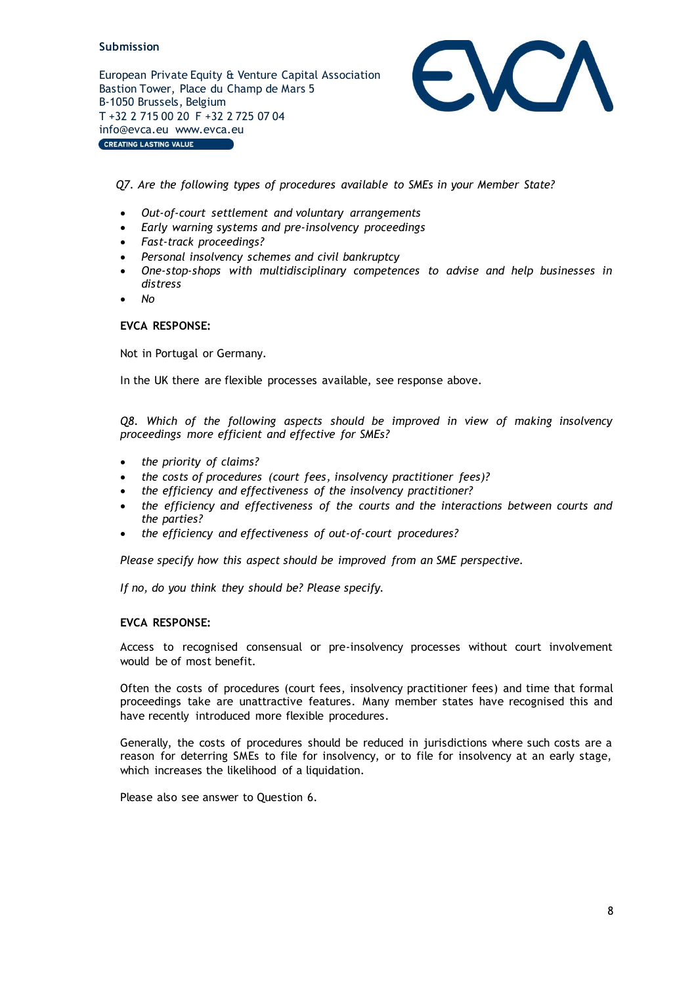European Private Equity & Venture Capital Association Bastion Tower, Place du Champ de Mars 5 B-1050 Brussels, Belgium T +32 2 715 00 20 F +32 2 725 07 04 info@evca.eu www.evca.eu CREATING LASTING VALUE



*Q7. Are the following types of procedures available to SMEs in your Member State?*

- *Out-of-court settlement and voluntary arrangements*
- *Early warning systems and pre-insolvency proceedings*
- *Fast-track proceedings?*
- *Personal insolvency schemes and civil bankruptcy*
- *One-stop-shops with multidisciplinary competences to advise and help businesses in distress*
- *No*

#### **EVCA RESPONSE:**

Not in Portugal or Germany.

In the UK there are flexible processes available, see response above.

*Q8. Which of the following aspects should be improved in view of making insolvency proceedings more efficient and effective for SMEs?*

- *the priority of claims?*
- *the costs of procedures (court fees, insolvency practitioner fees)?*
- *the efficiency and effectiveness of the insolvency practitioner?*
- *the efficiency and effectiveness of the courts and the interactions between courts and the parties?*
- *the efficiency and effectiveness of out-of-court procedures?*

*Please specify how this aspect should be improved from an SME perspective.*

*If no, do you think they should be? Please specify.*

#### **EVCA RESPONSE:**

Access to recognised consensual or pre-insolvency processes without court involvement would be of most benefit.

Often the costs of procedures (court fees, insolvency practitioner fees) and time that formal proceedings take are unattractive features. Many member states have recognised this and have recently introduced more flexible procedures.

Generally, the costs of procedures should be reduced in jurisdictions where such costs are a reason for deterring SMEs to file for insolvency, or to file for insolvency at an early stage, which increases the likelihood of a liquidation.

Please also see answer to Question 6.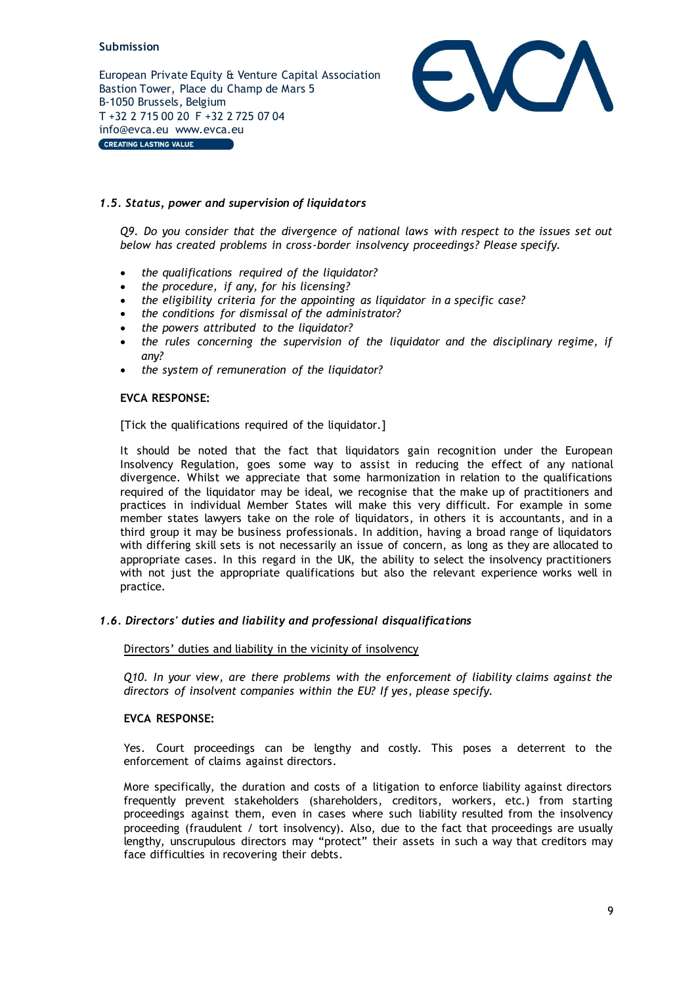European Private Equity & Venture Capital Association Bastion Tower, Place du Champ de Mars 5 B-1050 Brussels, Belgium T +32 2 715 00 20 F +32 2 725 07 04 info@evca.eu www.evca.eu CREATING LASTING VALUE



# <span id="page-8-0"></span>*1.5. Status, power and supervision of liquidators*

*Q9. Do you consider that the divergence of national laws with respect to the issues set out below has created problems in cross-border insolvency proceedings? Please specify.*

- *the qualifications required of the liquidator?*
- *the procedure, if any, for his licensing?*
- *the eligibility criteria for the appointing as liquidator in a specific case?*
- *the conditions for dismissal of the administrator?*
- *the powers attributed to the liquidator?*
- *the rules concerning the supervision of the liquidator and the disciplinary regime, if any?*
- *the system of remuneration of the liquidator?*

# **EVCA RESPONSE:**

[Tick the qualifications required of the liquidator.]

It should be noted that the fact that liquidators gain recognition under the European Insolvency Regulation, goes some way to assist in reducing the effect of any national divergence. Whilst we appreciate that some harmonization in relation to the qualifications required of the liquidator may be ideal, we recognise that the make up of practitioners and practices in individual Member States will make this very difficult. For example in some member states lawyers take on the role of liquidators, in others it is accountants, and in a third group it may be business professionals. In addition, having a broad range of liquidators with differing skill sets is not necessarily an issue of concern, as long as they are allocated to appropriate cases. In this regard in the UK, the ability to select the insolvency practitioners with not just the appropriate qualifications but also the relevant experience works well in practice.

# <span id="page-8-1"></span>*1.6. Directors' duties and liability and professional disqualifications*

#### Directors' duties and liability in the vicinity of insolvency

*Q10. In your view, are there problems with the enforcement of liability claims against the directors of insolvent companies within the EU? If yes, please specify.*

# **EVCA RESPONSE:**

Yes. Court proceedings can be lengthy and costly. This poses a deterrent to the enforcement of claims against directors.

More specifically, the duration and costs of a litigation to enforce liability against directors frequently prevent stakeholders (shareholders, creditors, workers, etc.) from starting proceedings against them, even in cases where such liability resulted from the insolvency proceeding (fraudulent / tort insolvency). Also, due to the fact that proceedings are usually lengthy, unscrupulous directors may "protect" their assets in such a way that creditors may face difficulties in recovering their debts.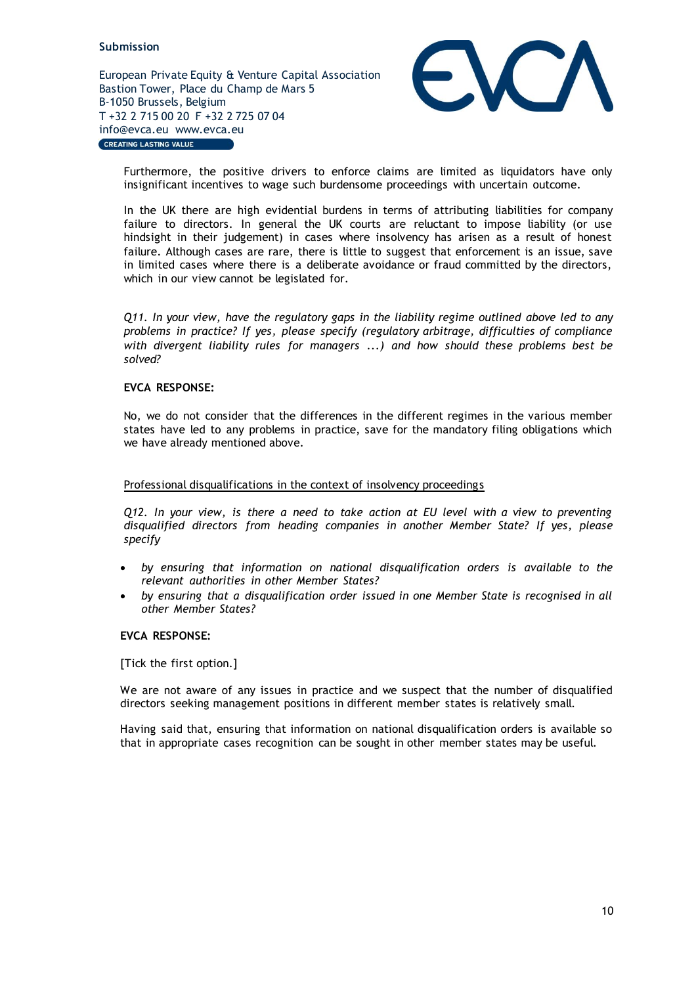European Private Equity & Venture Capital Association Bastion Tower, Place du Champ de Mars 5 B-1050 Brussels, Belgium T +32 2 715 00 20 F +32 2 725 07 04 info@evca.eu www.evca.eu CREATING LASTING VALUE



Furthermore, the positive drivers to enforce claims are limited as liquidators have only insignificant incentives to wage such burdensome proceedings with uncertain outcome.

In the UK there are high evidential burdens in terms of attributing liabilities for company failure to directors. In general the UK courts are reluctant to impose liability (or use hindsight in their judgement) in cases where insolvency has arisen as a result of honest failure. Although cases are rare, there is little to suggest that enforcement is an issue, save in limited cases where there is a deliberate avoidance or fraud committed by the directors, which in our view cannot be legislated for.

*Q11. In your view, have the regulatory gaps in the liability regime outlined above led to any problems in practice? If yes, please specify (regulatory arbitrage, difficulties of compliance with divergent liability rules for managers ...) and how should these problems best be solved?*

#### **EVCA RESPONSE:**

No, we do not consider that the differences in the different regimes in the various member states have led to any problems in practice, save for the mandatory filing obligations which we have already mentioned above.

#### Professional disqualifications in the context of insolvency proceedings

*Q12. In your view, is there a need to take action at EU level with a view to preventing disqualified directors from heading companies in another Member State? If yes, please specify*

- *by ensuring that information on national disqualification orders is available to the relevant authorities in other Member States?*
- *by ensuring that a disqualification order issued in one Member State is recognised in all other Member States?*

#### **EVCA RESPONSE:**

[Tick the first option.]

We are not aware of any issues in practice and we suspect that the number of disqualified directors seeking management positions in different member states is relatively small.

Having said that, ensuring that information on national disqualification orders is available so that in appropriate cases recognition can be sought in other member states may be useful.